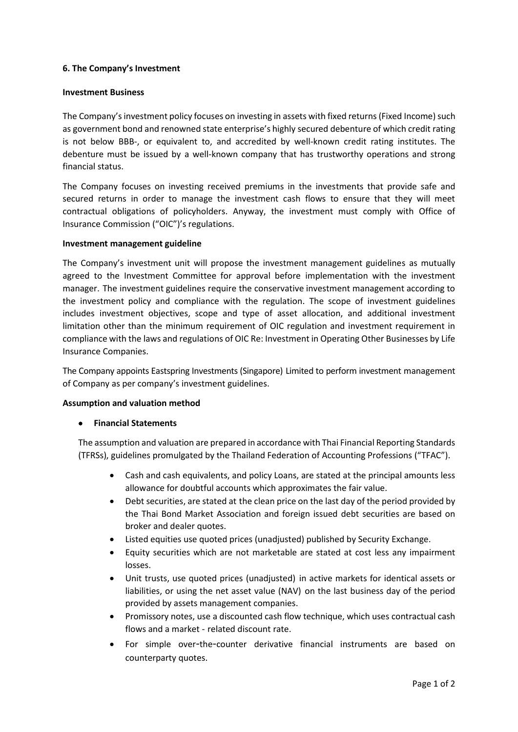# **6. The Company's Investment**

#### **Investment Business**

The Company's investment policy focuses on investing in assets with fixed returns (Fixed Income) such as government bond and renowned state enterprise's highly secured debenture of which credit rating is not below BBB-, or equivalent to, and accredited by well-known credit rating institutes. The debenture must be issued by a well-known company that has trustworthy operations and strong financial status.

The Company focuses on investing received premiums in the investments that provide safe and secured returns in order to manage the investment cash flows to ensure that they will meet contractual obligations of policyholders. Anyway, the investment must comply with Office of Insurance Commission ("OIC")'s regulations.

## **Investment management guideline**

The Company's investment unit will propose the investment management guidelines as mutually agreed to the Investment Committee for approval before implementation with the investment manager. The investment guidelines require the conservative investment management according to the investment policy and compliance with the regulation. The scope of investment guidelines includes investment objectives, scope and type of asset allocation, and additional investment limitation other than the minimum requirement of OIC regulation and investment requirement in compliance with the laws and regulations of OIC Re: Investment in Operating Other Businesses by Life Insurance Companies.

The Company appoints Eastspring Investments (Singapore) Limited to perform investment management of Company as per company's investment guidelines.

## **Assumption and valuation method**

## • **Financial Statements**

The assumption and valuation are prepared in accordance with Thai Financial Reporting Standards (TFRSs), guidelines promulgated by the Thailand Federation of Accounting Professions ("TFAC").

- Cash and cash equivalents, and policy Loans, are stated at the principal amounts less allowance for doubtful accounts which approximates the fair value.
- Debt securities, are stated at the clean price on the last day of the period provided by the Thai Bond Market Association and foreign issued debt securities are based on broker and dealer quotes.
- Listed equities use quoted prices (unadjusted) published by Security Exchange.
- Equity securities which are not marketable are stated at cost less any impairment losses.
- Unit trusts, use quoted prices (unadjusted) in active markets for identical assets or liabilities, or using the net asset value (NAV) on the last business day of the period provided by assets management companies.
- Promissory notes, use a discounted cash flow technique, which uses contractual cash flows and a market - related discount rate.
- For simple over-the-counter derivative financial instruments are based on counterparty quotes.